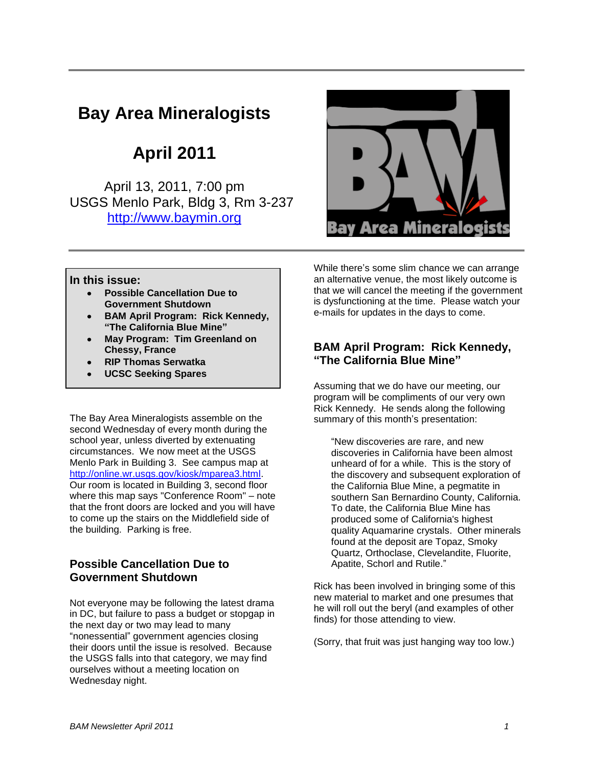# **Bay Area Mineralogists**

**April 2011**

April 13, 2011, 7:00 pm USGS Menlo Park, Bldg 3, Rm 3-237 [http://www.baymin.org](http://www.baymin.org/)



#### **In this issue:**

- **Possible Cancellation Due to Government Shutdown**
- **BAM April Program: Rick Kennedy, "The California Blue Mine"**
- **May Program: Tim Greenland on Chessy, France**
- **RIP Thomas Serwatka**
- **UCSC Seeking Spares**

The Bay Area Mineralogists assemble on the second Wednesday of every month during the school year, unless diverted by extenuating circumstances. We now meet at the USGS Menlo Park in Building 3. See campus map at [http://online.wr.usgs.gov/kiosk/mparea3.html.](http://online.wr.usgs.gov/kiosk/mparea3.html) Our room is located in Building 3, second floor where this map says "Conference Room" – note that the front doors are locked and you will have to come up the stairs on the Middlefield side of the building. Parking is free.

## **Possible Cancellation Due to Government Shutdown**

Not everyone may be following the latest drama in DC, but failure to pass a budget or stopgap in the next day or two may lead to many "nonessential" government agencies closing their doors until the issue is resolved. Because the USGS falls into that category, we may find ourselves without a meeting location on Wednesday night.

While there's some slim chance we can arrange an alternative venue, the most likely outcome is that we will cancel the meeting if the government is dysfunctioning at the time. Please watch your e-mails for updates in the days to come.

### **BAM April Program: Rick Kennedy, "The California Blue Mine"**

Assuming that we do have our meeting, our program will be compliments of our very own Rick Kennedy. He sends along the following summary of this month's presentation:

"New discoveries are rare, and new discoveries in California have been almost unheard of for a while. This is the story of the discovery and subsequent exploration of the California Blue Mine, a pegmatite in southern San Bernardino County, California. To date, the California Blue Mine has produced some of California's highest quality Aquamarine crystals. Other minerals found at the deposit are Topaz, Smoky Quartz, Orthoclase, Clevelandite, Fluorite, Apatite, Schorl and Rutile."

Rick has been involved in bringing some of this new material to market and one presumes that he will roll out the beryl (and examples of other finds) for those attending to view.

(Sorry, that fruit was just hanging way too low.)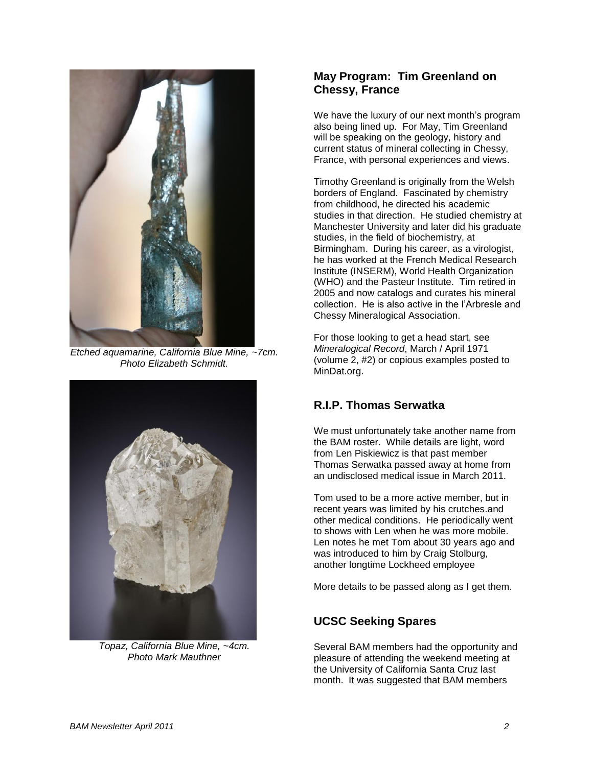

*Etched aquamarine, California Blue Mine, ~7cm. Photo Elizabeth Schmidt.*



*Topaz, California Blue Mine, ~4cm. Photo Mark Mauthner*

## **May Program: Tim Greenland on Chessy, France**

We have the luxury of our next month's program also being lined up. For May, Tim Greenland will be speaking on the geology, history and current status of mineral collecting in Chessy, France, with personal experiences and views.

Timothy Greenland is originally from the Welsh borders of England. Fascinated by chemistry from childhood, he directed his academic studies in that direction. He studied chemistry at Manchester University and later did his graduate studies, in the field of biochemistry, at Birmingham. During his career, as a virologist, he has worked at the French Medical Research Institute (INSERM), World Health Organization (WHO) and the Pasteur Institute. Tim retired in 2005 and now catalogs and curates his mineral collection. He is also active in the l'Arbresle and Chessy Mineralogical Association.

For those looking to get a head start, see *Mineralogical Record*, March / April 1971 (volume 2, #2) or copious examples posted to MinDat.org.

# **R.I.P. Thomas Serwatka**

We must unfortunately take another name from the BAM roster. While details are light, word from Len Piskiewicz is that past member Thomas Serwatka passed away at home from an undisclosed medical issue in March 2011.

Tom used to be a more active member, but in recent years was limited by his crutches.and other medical conditions. He periodically went to shows with Len when he was more mobile. Len notes he met Tom about 30 years ago and was introduced to him by Craig Stolburg, another longtime Lockheed employee

More details to be passed along as I get them.

# **UCSC Seeking Spares**

Several BAM members had the opportunity and pleasure of attending the weekend meeting at the University of California Santa Cruz last month. It was suggested that BAM members